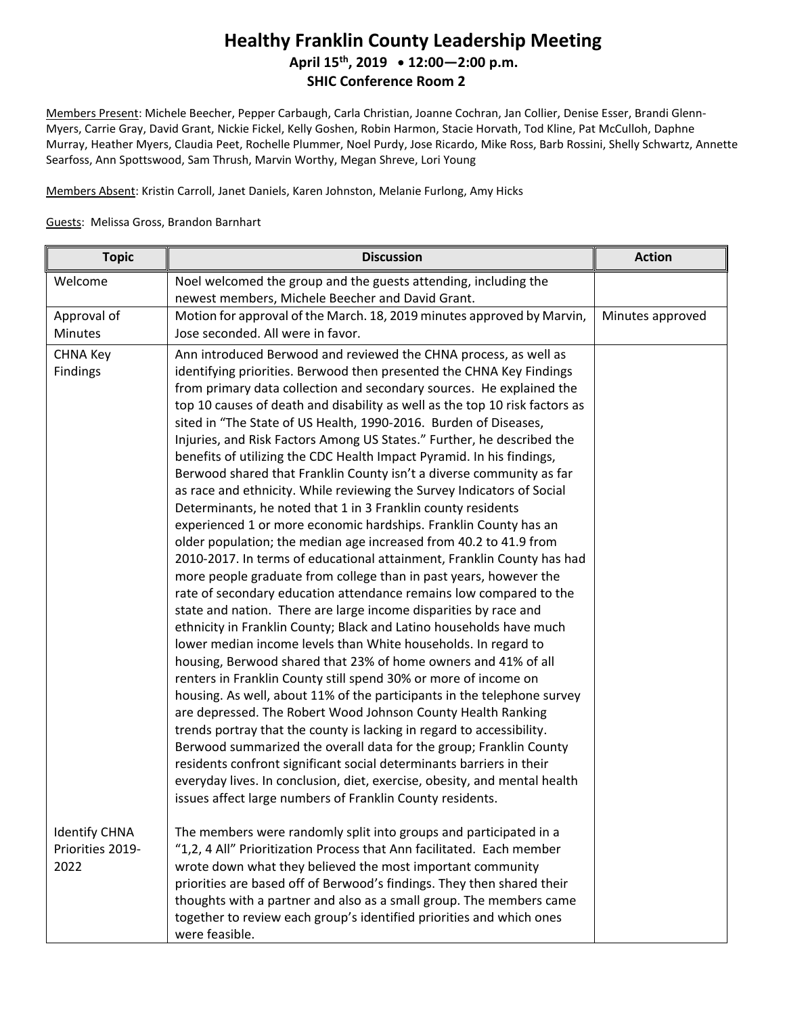## **Healthy Franklin County Leadership Meeting April 15th , 2019 12:00—2:00 p.m. SHIC Conference Room 2**

Members Present: Michele Beecher, Pepper Carbaugh, Carla Christian, Joanne Cochran, Jan Collier, Denise Esser, Brandi Glenn-Myers, Carrie Gray, David Grant, Nickie Fickel, Kelly Goshen, Robin Harmon, Stacie Horvath, Tod Kline, Pat McCulloh, Daphne Murray, Heather Myers, Claudia Peet, Rochelle Plummer, Noel Purdy, Jose Ricardo, Mike Ross, Barb Rossini, Shelly Schwartz, Annette Searfoss, Ann Spottswood, Sam Thrush, Marvin Worthy, Megan Shreve, Lori Young

Members Absent: Kristin Carroll, Janet Daniels, Karen Johnston, Melanie Furlong, Amy Hicks

## Guests: Melissa Gross, Brandon Barnhart

| <b>Topic</b>         | <b>Discussion</b>                                                                                                                               | <b>Action</b>    |
|----------------------|-------------------------------------------------------------------------------------------------------------------------------------------------|------------------|
| Welcome              | Noel welcomed the group and the guests attending, including the<br>newest members, Michele Beecher and David Grant.                             |                  |
| Approval of          | Motion for approval of the March. 18, 2019 minutes approved by Marvin,                                                                          | Minutes approved |
| Minutes              | Jose seconded. All were in favor.                                                                                                               |                  |
| <b>CHNA Key</b>      | Ann introduced Berwood and reviewed the CHNA process, as well as                                                                                |                  |
| <b>Findings</b>      | identifying priorities. Berwood then presented the CHNA Key Findings                                                                            |                  |
|                      | from primary data collection and secondary sources. He explained the                                                                            |                  |
|                      | top 10 causes of death and disability as well as the top 10 risk factors as                                                                     |                  |
|                      | sited in "The State of US Health, 1990-2016. Burden of Diseases,                                                                                |                  |
|                      | Injuries, and Risk Factors Among US States." Further, he described the<br>benefits of utilizing the CDC Health Impact Pyramid. In his findings, |                  |
|                      | Berwood shared that Franklin County isn't a diverse community as far                                                                            |                  |
|                      | as race and ethnicity. While reviewing the Survey Indicators of Social                                                                          |                  |
|                      | Determinants, he noted that 1 in 3 Franklin county residents                                                                                    |                  |
|                      | experienced 1 or more economic hardships. Franklin County has an                                                                                |                  |
|                      | older population; the median age increased from 40.2 to 41.9 from                                                                               |                  |
|                      | 2010-2017. In terms of educational attainment, Franklin County has had                                                                          |                  |
|                      | more people graduate from college than in past years, however the                                                                               |                  |
|                      | rate of secondary education attendance remains low compared to the                                                                              |                  |
|                      | state and nation. There are large income disparities by race and                                                                                |                  |
|                      | ethnicity in Franklin County; Black and Latino households have much                                                                             |                  |
|                      | lower median income levels than White households. In regard to                                                                                  |                  |
|                      | housing, Berwood shared that 23% of home owners and 41% of all                                                                                  |                  |
|                      | renters in Franklin County still spend 30% or more of income on<br>housing. As well, about 11% of the participants in the telephone survey      |                  |
|                      | are depressed. The Robert Wood Johnson County Health Ranking                                                                                    |                  |
|                      | trends portray that the county is lacking in regard to accessibility.                                                                           |                  |
|                      | Berwood summarized the overall data for the group; Franklin County                                                                              |                  |
|                      | residents confront significant social determinants barriers in their                                                                            |                  |
|                      | everyday lives. In conclusion, diet, exercise, obesity, and mental health                                                                       |                  |
|                      | issues affect large numbers of Franklin County residents.                                                                                       |                  |
| <b>Identify CHNA</b> | The members were randomly split into groups and participated in a                                                                               |                  |
| Priorities 2019-     | "1,2, 4 All" Prioritization Process that Ann facilitated. Each member                                                                           |                  |
| 2022                 | wrote down what they believed the most important community                                                                                      |                  |
|                      | priorities are based off of Berwood's findings. They then shared their                                                                          |                  |
|                      | thoughts with a partner and also as a small group. The members came                                                                             |                  |
|                      | together to review each group's identified priorities and which ones                                                                            |                  |
|                      | were feasible.                                                                                                                                  |                  |